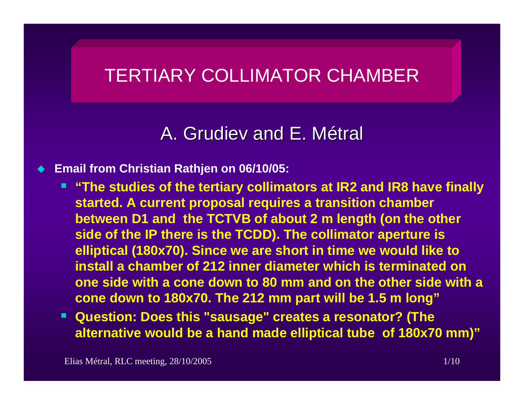# TERTIARY COLLIMATOR CHAMBER

# A. Grudiev and E. Métral

#### ♦ **Email from Christian Rathjen on 06/10/05:**

- **"The studies of the tertiary collimators at IR2 and IR8 have finally started. A current proposal requires a transition chamber between D1 and the TCTVB of about 2 m length (on the other side of the IP there is the TCDD). The collimator aperture is elliptical (180x70). Since we are short in time we would like to install a chamber of 212 inner diameter which is terminated on one side with a cone down to 80 mm and on the other side with a cone down to 180x70. The 212 mm part will be 1.5 m long"**
- **Question: Does this "sausage" creates a resonator? (The alternative would be a hand made elliptical tube of 180x70 mm)"**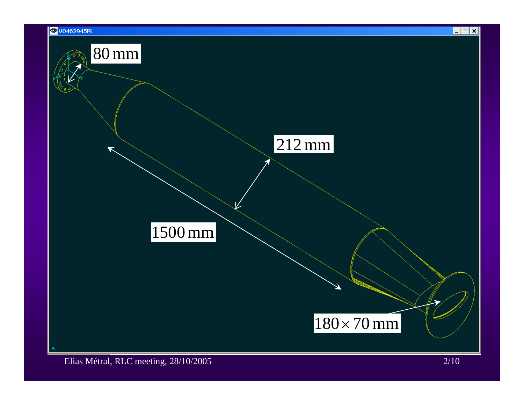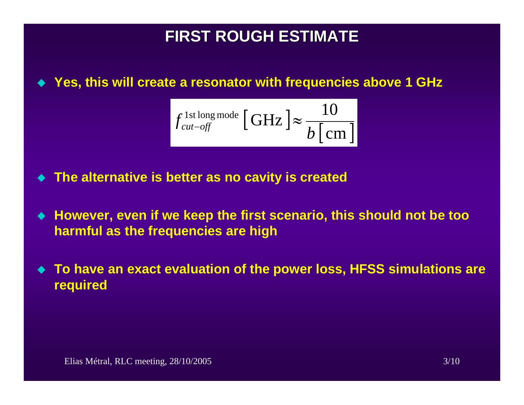# **FIRST ROUGH ESTIMATE FIRST ROUGH ESTIMATE**

#### **Yes, this will create a resonator with frequencies above 1 GHz**

$$
f_{\text{cut-off}}^{\text{1st long mode}} \left[ \text{GHz} \right] \approx \frac{10}{b \left[ \text{cm} \right]}
$$

- $\blacklozenge$ **The alternative is better as no cavity is created**
- **However, even if we keep the first scenario, this should not be too harmful as the frequencies are high**
- $\blacklozenge$  **To have an exact evaluation of the power loss, HFSS simulations are required**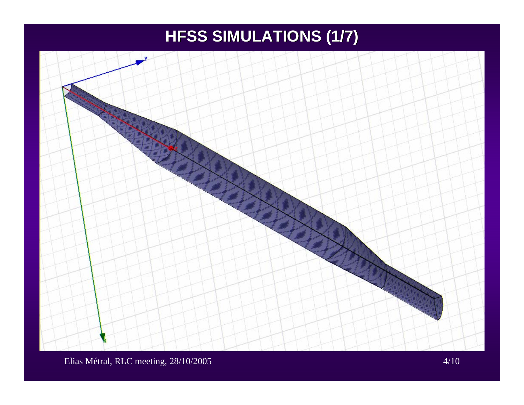# **HFSS SIMULATIONS (1/7) HFSS SIMULATIONS (1/7)**



Elias Métral, RLC meeting, 28/10/2005 4/10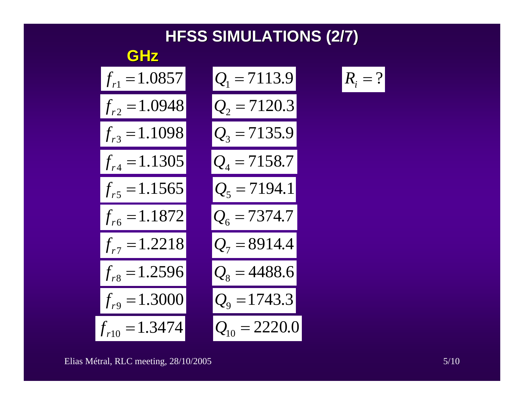



$$
\boxed{R_i = ?}
$$

Elias Métral, RLC meeting, 28/10/2005 5/10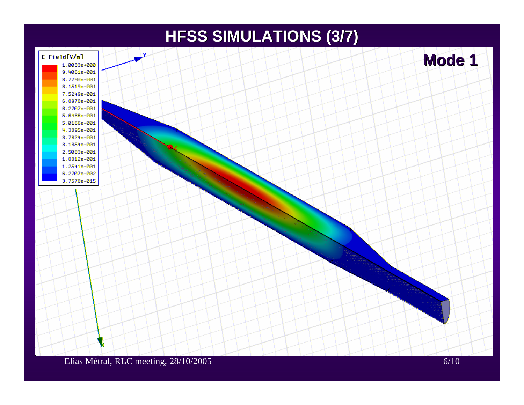### **HFSS SIMULATIONS (3/7) HFSS SIMULATIONS (3/7)**

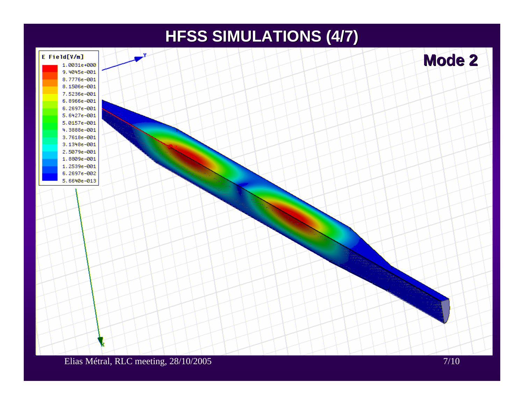## **HFSS SIMULATIONS (4/7) HFSS SIMULATIONS (4/7)**

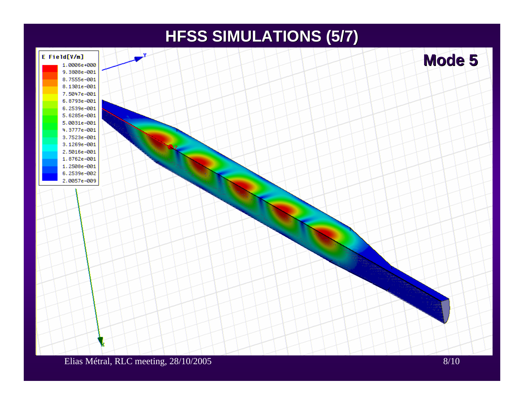### **HFSS SIMULATIONS (5/7) HFSS SIMULATIONS (5/7)**

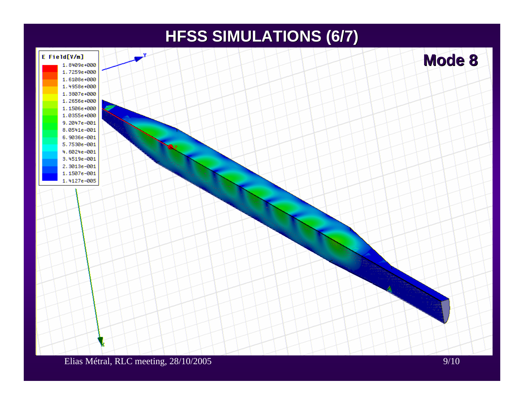### **HFSS SIMULATIONS (6/7) HFSS SIMULATIONS (6/7)**